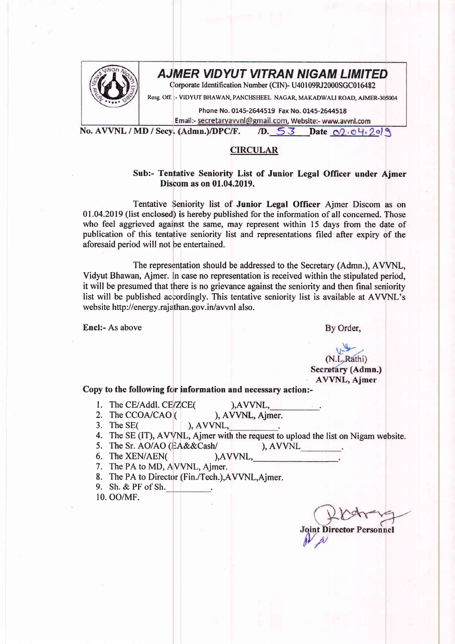

## AJMER VIDYUT VITRAN NIGAM LIMITED

Corporate Identification Number (CIN)- U40109RJ2000SGC016482

Resg. Off. :- VIDYUT BHAWAN, PANCHSHEEL NAGAR, MAKADWALI ROAD, AJMER-305004

Phone No. 0145-2644519 Fax No. 0145-2644518

Email:- <u>secretaryavvnl@gmail.com</u>, Website:- www.avvnl.com<br>No. AVVNL / MD / Secy. (Admn.)/DPC/F. /D. 53 Date 09.04.209

## CIRCULAR

## Sub:- Tentative Seniority List of Junior Legal Officer under Aimer Discom as on 01.04.2019.

Tentative Seniority list of Junior Legal Officer Ajmer Discom as on  $01.04.2019$  (list enclosed) is hereby published for the information of all concerned. Those who feel aggrieved against the same, may represent within 15 days from the date of publication of this tentatiye seniority list and representations filed after expiry of the aforesaid period will not be entertained.

The representation should be addressed to the Secretary (Admn.), AWNIL, Vidyut Bhawan, Ajmer. In case no representation is received within the stipulated period, it will be presumed that there is no grievance against the seniority and then final seniority list will be published accordingly. This tentative seniority list is available at AVVNL's website http://energy.rajathan.gov.in/avvnl also.

Encl:- As above

By Order,

(N.L.Rathi) Secretary (Admn.) **AVVNL, Ajmer** 

Copy to the following for information and necessary action:-

- 1. The CE/Addl. CE/ZCE(
- 2. The CCOA/CAO ( ), AVVNL, Ajmer.<br>
), AVVNL,
- 3. The SE $($
- 4. The SE (IT), AVVNL, Ajmer with the request to upload the list on Nigam website.

), AVVNL,

- 
- 5. The Sr. AO/AO (EA&&Cash/ ), AVVNL<br>6. The XEN/AEN( ), AVVNL, 6. The  $XEN/ABN($
- 7. The PA to MD, AVVNL, Ajmer.
- 8. The PA to Director (Fin./Tech.),AVVNL,Ajmer.
- 9. Sh.&PFofSh.

10. oo/MF.

**Joint Director Personnel**